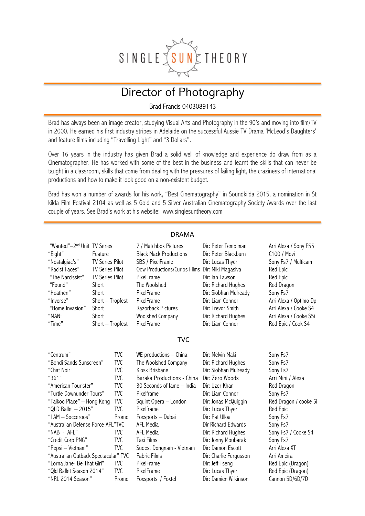

# Director of Photography

Brad Francis 0403089143

Brad has always been an image creator, studying Visual Arts and Photography in the 90's and moving into film/TV in 2000. He earned his first industry stripes in Adelaide on the successful Aussie TV Drama 'McLeod's Daughters' and feature films including "Travelling Light" and "3 Dollars".

Over 16 years in the industry has given Brad a solid well of knowledge and experience do draw from as a Cinematographer. He has worked with some of the best in the business and learnt the skills that can never be taught in a classroom, skills that come from dealing with the pressures of failing light, the craziness of international productions and how to make it look good on a non-existent budget.

Brad has won a number of awards for his work, "Best Cinematography" in Soundkilda 2015, a nomination in St kilda Film Festival 2104 as well as 5 Gold and 5 Silver Australian Cinematography Society Awards over the last couple of years. See Brad's work at his website: www.singlesuntheory.com

| <b>DRAMA</b>                                                                                                                                                                                                                                                                                                                                                                                                       |                                                                                                                                                                     |                                                                                                                                                                                          |                                                                                                                                                                                                                                                                                                                                                            |                                                                                                                                                                                                                                                                                                                                                                             |                                                                                                                                                                                                                                                                              |
|--------------------------------------------------------------------------------------------------------------------------------------------------------------------------------------------------------------------------------------------------------------------------------------------------------------------------------------------------------------------------------------------------------------------|---------------------------------------------------------------------------------------------------------------------------------------------------------------------|------------------------------------------------------------------------------------------------------------------------------------------------------------------------------------------|------------------------------------------------------------------------------------------------------------------------------------------------------------------------------------------------------------------------------------------------------------------------------------------------------------------------------------------------------------|-----------------------------------------------------------------------------------------------------------------------------------------------------------------------------------------------------------------------------------------------------------------------------------------------------------------------------------------------------------------------------|------------------------------------------------------------------------------------------------------------------------------------------------------------------------------------------------------------------------------------------------------------------------------|
| "Wanted"-2 <sup>nd</sup> Unit TV Series<br>"Eight"<br>"Nostalgiac's"<br>"Racist Faces"<br>"The Narcissist"<br>"Found"<br>"Heathen"<br>"Inverse"<br>"Home Invasion"<br>"MAN"<br>"Time"                                                                                                                                                                                                                              | Feature<br><b>TV Series Pilot</b><br><b>TV Series Pilot</b><br><b>TV Series Pilot</b><br>Short<br>Short<br>Short - Tropfest<br>Short<br>Short<br>$Short - Tropfest$ |                                                                                                                                                                                          | 7 / Matchbox Pictures<br><b>Black Mack Productions</b><br>SBS / PixelFrame<br><b>Oow Productions/Curios Films</b><br>PixelFrame<br>The Woolshed<br>PixelFrame<br>PixelFrame<br>Razorback Pictures<br><b>Woolshed Company</b><br>PixelFrame                                                                                                                 | Dir: Peter Templman<br>Dir: Peter Blackburn<br>Dir: Lucas Thyer<br>Dir: Miki Magasiva<br>Dir: lan Lawson<br>Dir: Richard Hughes<br>Dir: Siobhan Mulready<br>Dir: Liam Connor<br>Dir: Trevor Smith<br>Dir: Richard Hughes<br>Dir: Liam Connor                                                                                                                                | Arri Alexa / Sony F55<br>C100 / Movi<br>Sony Fs7 / Multicam<br>Red Epic<br>Red Epic<br>Red Dragon<br>Sony Fs7<br>Arri Alexa / Optimo Dp<br>Arri Alexa / Cooke S4<br>Arri Alexa / Cooke S5i<br>Red Epic / Cook S4                                                             |
| <b>TVC</b>                                                                                                                                                                                                                                                                                                                                                                                                         |                                                                                                                                                                     |                                                                                                                                                                                          |                                                                                                                                                                                                                                                                                                                                                            |                                                                                                                                                                                                                                                                                                                                                                             |                                                                                                                                                                                                                                                                              |
| "Centrum"<br>"Bondi Sands Sunscreen"<br>"Chat Noir"<br>"361"<br>"American Tourister"<br>"Turtle Downunder Tours"<br>"Taikoo Place" - Hong Kong<br>"QLD Ballet $-$ 2015"<br>"I AM - Socceroos"<br>"Australian Defense Force-AFL"TVC<br>"NAB - AFL"<br>"Credit Corp PNG"<br>"Pepsi - Vietnam"<br>"Australian Outback Spectacular" TVC<br>"Lorna Jane- Be That Girl"<br>"Qld Ballet Season 2014"<br>"NRL 2014 Season" |                                                                                                                                                                     | <b>TVC</b><br><b>TVC</b><br><b>TVC</b><br><b>TVC</b><br><b>TVC</b><br><b>TVC</b><br><b>TVC</b><br>TVC.<br>Promo<br><b>TVC</b><br><b>TVC</b><br><b>TVC</b><br><b>TVC</b><br>TVC.<br>Promo | WE productions - China<br>The Woolshed Company<br>Kiosk Brisbane<br>Baraka Productions - China<br>30 Seconds of fame - India<br>Pixelframe<br>Squint Opera - London<br>Pixelframe<br>Foxsports - Dubai<br>AFL Media<br>AFL Media<br><b>Taxi Films</b><br>Sudest Dongnam - Vietnam<br><b>Fabric Films</b><br>PixelFrame<br>PixelFrame<br>Foxsports / Foxtel | Dir: Melvin Maki<br>Dir: Richard Hughes<br>Dir: Siobhan Mulready<br>Dir: Zero Woods<br>Dir: Uzer Khan<br>Dir: Liam Connor<br>Dir: Jonas McQuiggin<br>Dir: Lucas Thyer<br>Dir: Pat Ulloa<br>Dir Richard Edwards<br>Dir: Richard Hughes<br>Dir: Jonny Moubarak<br>Dir: Damon Escott<br>Dir: Charlie Fergusson<br>Dir: Jeff Tseng<br>Dir: Lucas Thyer<br>Dir: Damien Wilkinson | Sony Fs7<br>Sony Fs7<br>Sony Fs7<br>Arri Mini / Alexa<br>Red Dragon<br>Sony Fs7<br>Red Dragon / cooke 5i<br>Red Epic<br>Sony Fs7<br>Sony Fs7<br>Sony Fs7 / Cooke S4<br>Sony Fs7<br>Arri Alexa XT<br>Arri Ameira<br>Red Epic (Dragon)<br>Red Epic (Dragon)<br>Cannon 5D/6D/7D |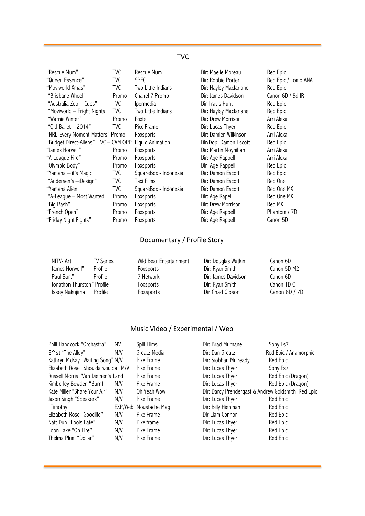### TVC

| "Rescue Mum"                         | TVC   | Rescue Mum            | Dir: Maelle Moreau     | Red Epic            |
|--------------------------------------|-------|-----------------------|------------------------|---------------------|
| "Queen Essence"                      | TVC   | <b>SPEC</b>           | Dir: Robbie Porter     | Red Epic / Lomo ANA |
| "Moviworld Xmas"                     | TVC   | Two Little Indians    | Dir: Hayley Macfarlane | Red Epic            |
| "Brisbane Wheel"                     | Promo | Chanel 7 Promo        | Dir: James Davidson    | Canon 6D / 5d IR    |
| "Australia Zoo – Cubs"               | TVC   | <i>Ipermedia</i>      | Dir Travis Hunt        | Red Epic            |
| "Moviworld - Fright Nights"          | TVC   | Two Little Indians    | Dir: Hayley Macfarlane | Red Epic            |
| "Warnie Winter"                      | Promo | Foxtel                | Dir: Drew Morrison     | Arri Alexa          |
| "Qld Ballet $-$ 2014"                | TVC   | PixelFrame            | Dir: Lucas Thyer       | Red Epic            |
| "NRL-Every Moment Matters" Promo     |       | Foxsports             | Dir: Damien Wilkinson  | Arri Alexa          |
| "Budget Direct-Aliens" TVC - CAM OPP |       | Liquid Animation      | Dir/Dop: Damon Escott  | Red Epic            |
| "James Horwell"                      | Promo | Foxsports             | Dir: Martin Moynihan   | Arri Alexa          |
| "A-League Fire"                      | Promo | Foxsports             | Dir: Age Rappell       | Arri Alexa          |
| "Olympic Body"                       | Promo | Foxsports             | Dir Age Rappell        | Red Epic            |
| "Yamaha - it's Magic"                | TVC . | SquareBox - Indonesia | Dir: Damon Escott      | Red Epic            |
| "Andersen's -iDesign"                | TVC   | Taxi Films            | Dir: Damon Escott      | Red One             |
| "Yamaha Alien"                       | TVC   | SquareBox - Indonesia | Dir: Damon Escott      | Red One MX          |
| "A-League - Most Wanted"             | Promo | Foxsports             | Dir: Age Rapell        | Red One MX          |
| "Big Bash"                           | Promo | Foxsports             | Dir: Drew Morrison     | Red MX              |
| "French Open"                        | Promo | Foxsports             | Dir: Age Rappell       | Phantom / 7D        |
| "Friday Night Fights"                | Promo | Foxsports             | Dir: Age Rappell       | Canon 5D            |

## Documentary / Profile Story

| "NITV- Art"                 | <b>TV Series</b> | Wild Bear Entertainment | Dir: Douglas Watkin | Canon 6D      |
|-----------------------------|------------------|-------------------------|---------------------|---------------|
| "James Horwell"             | Profile          | Foxsports               | Dir: Ryan Smith     | Canon 5D M2   |
| "Paul Burt"                 | Profile          | 7 Network               | Dir: James Davidson | Canon 6D      |
| "Jonathon Thurston" Profile |                  | Foxsports               | Dir: Ryan Smith     | Canon 1D C    |
| "Issey Nakujima Profile     |                  | Foxsports               | Dir Chad Gibson     | Canon 6D / 7D |

## Music Video / Experimental / Web

| Phill Handcock "Orchastra"          | ΜV  | Spill Films           | Dir: Brad Murnane                                  | Sony Fs7              |
|-------------------------------------|-----|-----------------------|----------------------------------------------------|-----------------------|
| E∧st "The Alley"                    | M/V | Greatz Media          | Dir: Dan Greatz                                    | Red Epic / Anamorphic |
| Kathryn McKay "Waiting Song" M/V    |     | PixelFrame            | Dir: Siobhan Mulready                              | Red Epic              |
| Elizabeth Rose "Shoulda woulda" M/V |     | PixelFrame            | Dir: Lucas Thyer                                   | Sony Fs7              |
| Russell Morris "Van Diemen's Land"  |     | PixelFrame            | Dir: Lucas Thyer                                   | Red Epic (Dragon)     |
| Kimberley Bowden "Burnt"            | M/V | PixelFrame            | Dir: Lucas Thyer                                   | Red Epic (Dragon)     |
| Kate Miller "Share Your Air"        | M/V | Oh Yeah Wow           | Dir: Darcy Prendergast & Andrew Goldsmith Red Epic |                       |
| Jason Singh "Speakers"              | M/V | PixelFrame            | Dir: Lucas Thyer                                   | Red Epic              |
| "Timothy"                           |     | EXP/Web Moustache Mag | Dir: Billy Hienman                                 | Red Epic              |
| Elizabeth Rose "Goodlife"           | M/V | PixelFrame            | Dir Liam Connor                                    | Red Epic              |
| Natt Dun "Fools Fate"               | M/V | Pixelframe            | Dir: Lucas Thyer                                   | Red Epic              |
| Loon Lake "On Fire"                 | M/V | PixelFrame            | Dir: Lucas Thyer                                   | Red Epic              |
| Thelma Plum "Dollar"                | M/V | PixelFrame            | Dir: Lucas Thyer                                   | Red Epic              |